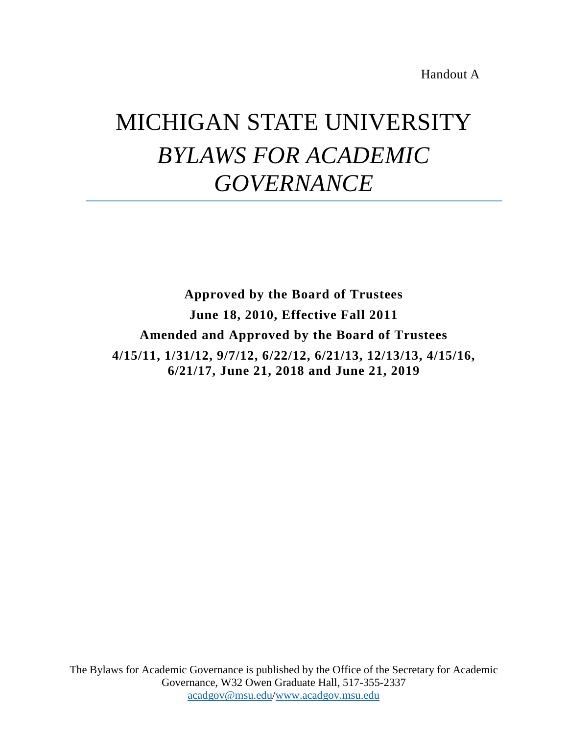Handout A

## MICHIGAN STATE UNIVERSITY *BYLAWS FOR ACADEMIC GOVERNANCE*

**Approved by the Board of Trustees June 18, 2010, Effective Fall 2011 Amended and Approved by the Board of Trustees 4/15/11, 1/31/12, 9/7/12, 6/22/12, 6/21/13, 12/13/13, 4/15/16, 6/21/17, June 21, 2018 and June 21, 2019**